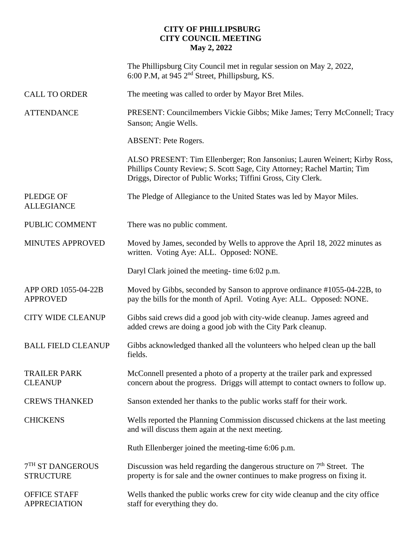## **CITY OF PHILLIPSBURG CITY COUNCIL MEETING May 2, 2022**

|                                            | The Phillipsburg City Council met in regular session on May 2, 2022,<br>6:00 P.M, at 945 2 <sup>nd</sup> Street, Phillipsburg, KS.                                                                                    |
|--------------------------------------------|-----------------------------------------------------------------------------------------------------------------------------------------------------------------------------------------------------------------------|
| <b>CALL TO ORDER</b>                       | The meeting was called to order by Mayor Bret Miles.                                                                                                                                                                  |
| <b>ATTENDANCE</b>                          | PRESENT: Councilmembers Vickie Gibbs; Mike James; Terry McConnell; Tracy<br>Sanson; Angie Wells.                                                                                                                      |
|                                            | <b>ABSENT: Pete Rogers.</b>                                                                                                                                                                                           |
|                                            | ALSO PRESENT: Tim Ellenberger; Ron Jansonius; Lauren Weinert; Kirby Ross,<br>Phillips County Review; S. Scott Sage, City Attorney; Rachel Martin; Tim<br>Driggs, Director of Public Works; Tiffini Gross, City Clerk. |
| <b>PLEDGE OF</b><br><b>ALLEGIANCE</b>      | The Pledge of Allegiance to the United States was led by Mayor Miles.                                                                                                                                                 |
| PUBLIC COMMENT                             | There was no public comment.                                                                                                                                                                                          |
| <b>MINUTES APPROVED</b>                    | Moved by James, seconded by Wells to approve the April 18, 2022 minutes as<br>written. Voting Aye: ALL. Opposed: NONE.                                                                                                |
|                                            | Daryl Clark joined the meeting- time 6:02 p.m.                                                                                                                                                                        |
| APP ORD 1055-04-22B<br><b>APPROVED</b>     | Moved by Gibbs, seconded by Sanson to approve ordinance #1055-04-22B, to<br>pay the bills for the month of April. Voting Aye: ALL. Opposed: NONE.                                                                     |
| <b>CITY WIDE CLEANUP</b>                   | Gibbs said crews did a good job with city-wide cleanup. James agreed and<br>added crews are doing a good job with the City Park cleanup.                                                                              |
| <b>BALL FIELD CLEANUP</b>                  | Gibbs acknowledged thanked all the volunteers who helped clean up the ball<br>fields.                                                                                                                                 |
| <b>TRAILER PARK</b><br><b>CLEANUP</b>      | McConnell presented a photo of a property at the trailer park and expressed<br>concern about the progress. Driggs will attempt to contact owners to follow up.                                                        |
| <b>CREWS THANKED</b>                       | Sanson extended her thanks to the public works staff for their work.                                                                                                                                                  |
| <b>CHICKENS</b>                            | Wells reported the Planning Commission discussed chickens at the last meeting<br>and will discuss them again at the next meeting.                                                                                     |
|                                            | Ruth Ellenberger joined the meeting-time 6:06 p.m.                                                                                                                                                                    |
| 7TH ST DANGEROUS<br><b>STRUCTURE</b>       | Discussion was held regarding the dangerous structure on $7th$ Street. The<br>property is for sale and the owner continues to make progress on fixing it.                                                             |
| <b>OFFICE STAFF</b><br><b>APPRECIATION</b> | Wells thanked the public works crew for city wide cleanup and the city office<br>staff for everything they do.                                                                                                        |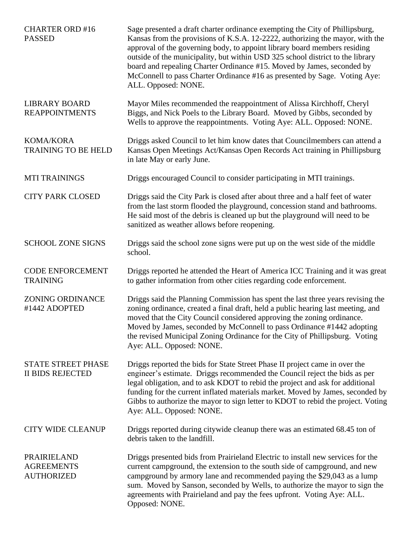| <b>CHARTER ORD #16</b><br><b>PASSED</b>               | Sage presented a draft charter ordinance exempting the City of Phillipsburg,<br>Kansas from the provisions of K.S.A. 12-2222, authorizing the mayor, with the<br>approval of the governing body, to appoint library board members residing<br>outside of the municipality, but within USD 325 school district to the library<br>board and repealing Charter Ordinance #15. Moved by James, seconded by<br>McConnell to pass Charter Ordinance #16 as presented by Sage. Voting Aye:<br>ALL. Opposed: NONE. |
|-------------------------------------------------------|------------------------------------------------------------------------------------------------------------------------------------------------------------------------------------------------------------------------------------------------------------------------------------------------------------------------------------------------------------------------------------------------------------------------------------------------------------------------------------------------------------|
| <b>LIBRARY BOARD</b><br><b>REAPPOINTMENTS</b>         | Mayor Miles recommended the reappointment of Alissa Kirchhoff, Cheryl<br>Biggs, and Nick Poels to the Library Board. Moved by Gibbs, seconded by<br>Wells to approve the reappointments. Voting Aye: ALL. Opposed: NONE.                                                                                                                                                                                                                                                                                   |
| <b>KOMA/KORA</b><br><b>TRAINING TO BE HELD</b>        | Driggs asked Council to let him know dates that Councilmembers can attend a<br>Kansas Open Meetings Act/Kansas Open Records Act training in Phillipsburg<br>in late May or early June.                                                                                                                                                                                                                                                                                                                     |
| <b>MTI TRAININGS</b>                                  | Driggs encouraged Council to consider participating in MTI trainings.                                                                                                                                                                                                                                                                                                                                                                                                                                      |
| <b>CITY PARK CLOSED</b>                               | Driggs said the City Park is closed after about three and a half feet of water<br>from the last storm flooded the playground, concession stand and bathrooms.<br>He said most of the debris is cleaned up but the playground will need to be<br>sanitized as weather allows before reopening.                                                                                                                                                                                                              |
| <b>SCHOOL ZONE SIGNS</b>                              | Driggs said the school zone signs were put up on the west side of the middle<br>school.                                                                                                                                                                                                                                                                                                                                                                                                                    |
| <b>CODE ENFORCEMENT</b><br><b>TRAINING</b>            | Driggs reported he attended the Heart of America ICC Training and it was great<br>to gather information from other cities regarding code enforcement.                                                                                                                                                                                                                                                                                                                                                      |
| ZONING ORDINANCE<br>#1442 ADOPTED                     | Driggs said the Planning Commission has spent the last three years revising the<br>zoning ordinance, created a final draft, held a public hearing last meeting, and<br>moved that the City Council considered approving the zoning ordinance.<br>Moved by James, seconded by McConnell to pass Ordinance #1442 adopting<br>the revised Municipal Zoning Ordinance for the City of Phillipsburg. Voting<br>Aye: ALL. Opposed: NONE.                                                                         |
| <b>STATE STREET PHASE</b><br><b>II BIDS REJECTED</b>  | Driggs reported the bids for State Street Phase II project came in over the<br>engineer's estimate. Driggs recommended the Council reject the bids as per<br>legal obligation, and to ask KDOT to rebid the project and ask for additional<br>funding for the current inflated materials market. Moved by James, seconded by<br>Gibbs to authorize the mayor to sign letter to KDOT to rebid the project. Voting<br>Aye: ALL. Opposed: NONE.                                                               |
| <b>CITY WIDE CLEANUP</b>                              | Driggs reported during citywide cleanup there was an estimated 68.45 ton of<br>debris taken to the landfill.                                                                                                                                                                                                                                                                                                                                                                                               |
| PRAIRIELAND<br><b>AGREEMENTS</b><br><b>AUTHORIZED</b> | Driggs presented bids from Prairieland Electric to install new services for the<br>current campground, the extension to the south side of campground, and new<br>campground by armory lane and recommended paying the \$29,043 as a lump<br>sum. Moved by Sanson, seconded by Wells, to authorize the mayor to sign the<br>agreements with Prairieland and pay the fees upfront. Voting Aye: ALL.<br>Opposed: NONE.                                                                                        |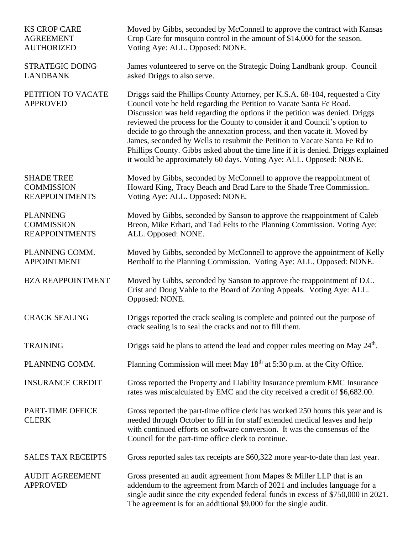| <b>KS CROP CARE</b><br><b>AGREEMENT</b><br><b>AUTHORIZED</b>    | Moved by Gibbs, seconded by McConnell to approve the contract with Kansas<br>Crop Care for mosquito control in the amount of \$14,000 for the season.<br>Voting Aye: ALL. Opposed: NONE.                                                                                                                                                                                                                                                                                                                                                                                                                                                   |
|-----------------------------------------------------------------|--------------------------------------------------------------------------------------------------------------------------------------------------------------------------------------------------------------------------------------------------------------------------------------------------------------------------------------------------------------------------------------------------------------------------------------------------------------------------------------------------------------------------------------------------------------------------------------------------------------------------------------------|
| <b>STRATEGIC DOING</b><br><b>LANDBANK</b>                       | James volunteered to serve on the Strategic Doing Landbank group. Council<br>asked Driggs to also serve.                                                                                                                                                                                                                                                                                                                                                                                                                                                                                                                                   |
| PETITION TO VACATE<br><b>APPROVED</b>                           | Driggs said the Phillips County Attorney, per K.S.A. 68-104, requested a City<br>Council vote be held regarding the Petition to Vacate Santa Fe Road.<br>Discussion was held regarding the options if the petition was denied. Driggs<br>reviewed the process for the County to consider it and Council's option to<br>decide to go through the annexation process, and then vacate it. Moved by<br>James, seconded by Wells to resubmit the Petition to Vacate Santa Fe Rd to<br>Phillips County. Gibbs asked about the time line if it is denied. Driggs explained<br>it would be approximately 60 days. Voting Aye: ALL. Opposed: NONE. |
| <b>SHADE TREE</b><br><b>COMMISSION</b><br><b>REAPPOINTMENTS</b> | Moved by Gibbs, seconded by McConnell to approve the reappointment of<br>Howard King, Tracy Beach and Brad Lare to the Shade Tree Commission.<br>Voting Aye: ALL. Opposed: NONE.                                                                                                                                                                                                                                                                                                                                                                                                                                                           |
| <b>PLANNING</b><br><b>COMMISSION</b><br><b>REAPPOINTMENTS</b>   | Moved by Gibbs, seconded by Sanson to approve the reappointment of Caleb<br>Breon, Mike Erhart, and Tad Felts to the Planning Commission. Voting Aye:<br>ALL. Opposed: NONE.                                                                                                                                                                                                                                                                                                                                                                                                                                                               |
| PLANNING COMM.<br><b>APPOINTMENT</b>                            | Moved by Gibbs, seconded by McConnell to approve the appointment of Kelly<br>Bertholf to the Planning Commission. Voting Aye: ALL. Opposed: NONE.                                                                                                                                                                                                                                                                                                                                                                                                                                                                                          |
| <b>BZA REAPPOINTMENT</b>                                        | Moved by Gibbs, seconded by Sanson to approve the reappointment of D.C.<br>Crist and Doug Vahle to the Board of Zoning Appeals. Voting Aye: ALL.<br>Opposed: NONE.                                                                                                                                                                                                                                                                                                                                                                                                                                                                         |
| <b>CRACK SEALING</b>                                            | Driggs reported the crack sealing is complete and pointed out the purpose of<br>crack sealing is to seal the cracks and not to fill them.                                                                                                                                                                                                                                                                                                                                                                                                                                                                                                  |
| <b>TRAINING</b>                                                 | Driggs said he plans to attend the lead and copper rules meeting on May 24 <sup>th</sup> .                                                                                                                                                                                                                                                                                                                                                                                                                                                                                                                                                 |
| PLANNING COMM.                                                  | Planning Commission will meet May 18 <sup>th</sup> at 5:30 p.m. at the City Office.                                                                                                                                                                                                                                                                                                                                                                                                                                                                                                                                                        |
| <b>INSURANCE CREDIT</b>                                         | Gross reported the Property and Liability Insurance premium EMC Insurance<br>rates was miscalculated by EMC and the city received a credit of \$6,682.00.                                                                                                                                                                                                                                                                                                                                                                                                                                                                                  |
| PART-TIME OFFICE<br><b>CLERK</b>                                | Gross reported the part-time office clerk has worked 250 hours this year and is<br>needed through October to fill in for staff extended medical leaves and help<br>with continued efforts on software conversion. It was the consensus of the<br>Council for the part-time office clerk to continue.                                                                                                                                                                                                                                                                                                                                       |
| <b>SALES TAX RECEIPTS</b>                                       | Gross reported sales tax receipts are \$60,322 more year-to-date than last year.                                                                                                                                                                                                                                                                                                                                                                                                                                                                                                                                                           |
| <b>AUDIT AGREEMENT</b><br><b>APPROVED</b>                       | Gross presented an audit agreement from Mapes & Miller LLP that is an<br>addendum to the agreement from March of 2021 and includes language for a<br>single audit since the city expended federal funds in excess of \$750,000 in 2021.<br>The agreement is for an additional \$9,000 for the single audit.                                                                                                                                                                                                                                                                                                                                |